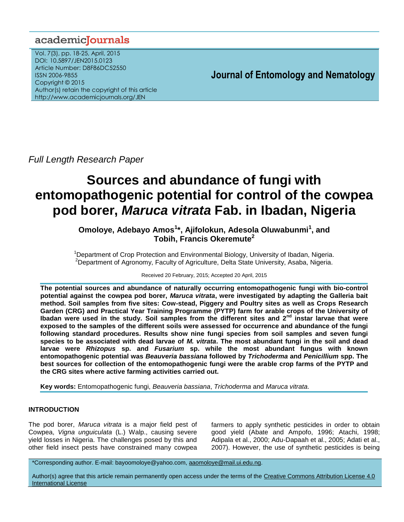# academiclournals

Vol. 7(3), pp. 18-25, April, 2015 DOI: 10.5897/JEN2015.0123 Article Number: D8F86DC52550 ISSN 2006-9855 Copyright © 2015 Author(s) retain the copyright of this article http://www.academicjournals.org/JEN

**Journal of Entomology and Nematology**

*Full Length Research Paper*

# **Sources and abundance of fungi with entomopathogenic potential for control of the cowpea pod borer,** *Maruca vitrata* **Fab. in Ibadan, Nigeria**

# **Omoloye, Adebayo Amos<sup>1</sup> \*, Ajifolokun, Adesola Oluwabunmi<sup>1</sup> , and Tobih, Francis Okeremute<sup>2</sup>**

<sup>1</sup>Department of Crop Protection and Environmental Biology, University of Ibadan, Nigeria. <sup>2</sup>Department of Agronomy, Faculty of Agriculture, Delta State University, Asaba, Nigeria.

Received 20 February, 2015; Accepted 20 April, 2015

**The potential sources and abundance of naturally occurring entomopathogenic fungi with bio-control potential against the cowpea pod borer,** *Maruca vitrata***, were investigated by adapting the Galleria bait method. Soil samples from five sites: Cow-stead, Piggery and Poultry sites as well as Crops Research Garden (CRG) and Practical Year Training Programme (PYTP) farm for arable crops of the University of Ibadan were used in the study. Soil samples from the different sites and 2nd instar larvae that were exposed to the samples of the different soils were assessed for occurrence and abundance of the fungi following standard procedures. Results show nine fungi species from soil samples and seven fungi species to be associated with dead larvae of** *M. vitrata***. The most abundant fungi in the soil and dead larvae were** *Rhizopus* **sp. and** *Fusarium* **sp. while the most abundant fungus with known entomopathogenic potential was** *Beauveria bassiana* **followed by** *Trichoderma* **and** *Penicillium* **spp. The best sources for collection of the entomopathogenic fungi were the arable crop farms of the PYTP and the CRG sites where active farming activities carried out.** 

**Key words:** Entomopathogenic fungi, *Beauveria bassiana*, *Trichoderma* and *Maruca vitrata.*

# **INTRODUCTION**

The pod borer, *Maruca vitrata* is a major field pest of Cowpea, *Vigna unguiculata* (L.) Walp., causing severe yield losses in Nigeria. The challenges posed by this and other field insect pests have constrained many cowpea farmers to apply synthetic pesticides in order to obtain good yield (Abate and Ampofo, 1996; Atachi, 1998; Adipala et al., 2000; Adu-Dapaah et al., 2005; Adati et al., 2007). However, the use of synthetic pesticides is being

\*Corresponding author. E-mail: bayoomoloye@yahoo.com, [aaomoloye@mail.ui.edu.ng.](mailto:aaomoloye@mail.ui.edu.ng)

Author(s) agree that this article remain permanently open access under the terms of the [Creative Commons Attribution License 4.0](http://creativecommons.org/licenses/by/4.0/deed.en_US)  [International License](http://creativecommons.org/licenses/by/4.0/deed.en_US)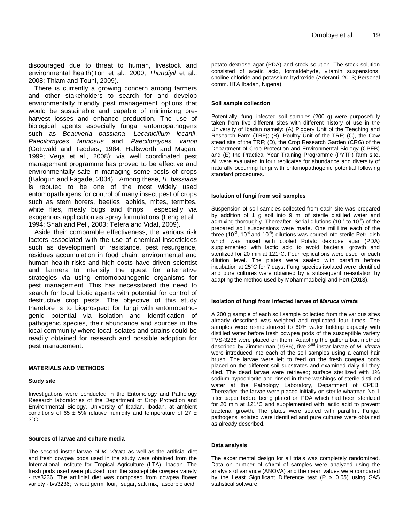discouraged due to threat to human, livestock and environmental health(Ton et al., 2000; *Thundiyil* et al., 2008; Thiam and Touni, 2009).

There is currently a growing concern among farmers and other stakeholders to search for and develop environmentally friendly pest management options that would be sustainable and capable of minimizing preharvest losses and enhance production. The use of biological agents especially fungal entomopathogens such as *Beauveria bassiana*; *Lecanicillum lecanii*, *Paecilomyces farinosus* and *Paecilomyces varioti* (Gottwald and Tedders, 1984; Hallsworth and Magan, 1999; Vega et al., 2008); via well coordinated pest management programme has proved to be effective and environmentally safe in managing some pests of crops (Balogun and Fagade, 2004). Among these, *B. bassiana* is reputed to be one of the most widely used entomopathogens for control of many insect pest of crops such as stem borers, beetles, aphids, mites, termites, white flies, mealy bugs and thrips especially via exogenous application as spray formulations (Feng et al., 1994; Shah and Pell, 2003; Tefera and Vidal, 2009).

Aside their comparable effectiveness, the various risk factors associated with the use of chemical insecticides such as development of resistance, pest resurgence, residues accumulation in food chain, environmental and human health risks and high costs have driven scientist and farmers to intensify the quest for alternative strategies via using entomopathogenic organisms for pest management. This has necessitated the need to search for local biotic agents with potential for control of destructive crop pests. The objective of this study therefore is to bioprospect for fungi with entomopathogenic potential via isolation and identification of pathogenic species, their abundance and sources in the local community where local isolates and strains could be readily obtained for research and possible adoption for pest management.

#### **MATERIALS AND METHODS**

#### **Study site**

Investigations were conducted in the Entomology and Pathology Research laboratories of the Department of Crop Protection and Environmental Biology, University of Ibadan, Ibadan, at ambient conditions of 65  $\pm$  5% relative humidity and temperature of 27  $\pm$ 3°C.

#### **Sources of larvae and culture media**

The second instar larvae of *M. vitrata* as well as the artificial diet and fresh cowpea pods used in the study were obtained from the International Institute for Tropical Agriculture (IITA), Ibadan. The fresh pods used were plucked from the susceptible cowpea variety - tvs3236. The artificial diet was composed from cowpea flower variety - tvs3236; wheat germ flour, sugar, salt mix, ascorbic acid,

potato dextrose agar (PDA) and stock solution. The stock solution consisted of acetic acid, formaldehyde, vitamin suspensions, choline chloride and potassium hydroxide (Aderanti, 2013; Personal comm. IITA Ibadan, Nigeria).

#### **Soil sample collection**

Potentially, fungi infected soil samples (200 g) were purposefully taken from five different sites with different history of use in the University of Ibadan namely: (A) Piggery Unit of the Teaching and Research Farm (TRF); (B), Poultry Unit of the TRF; (C), the Cow stead site of the TRF; (D), the Crop Research Garden (CRG) of the Department of Crop Protection and Environmental Biology (CPEB) and (E) the Practical Year Training Programme (PYTP) farm site. All were evaluated in four replicates for abundance and diversity of naturally occurring fungi with entomopathogenic potential following standard procedures.

#### **Isolation of fungi from soil samples**

Suspension of soil samples collected from each site was prepared by addition of 1 g soil into 9 ml of sterile distilled water and admixing thoroughly. Thereafter, Serial dilutions (10 $1$  to 10 $5$ ) of the prepared soil suspensions were made. One millilitre each of the three (10 $3$ , 10 $4$  and 10 $5$ ) dilutions was poured into sterile Petri dish which was mixed with cooled Potato dextrose agar (PDA) supplemented with lactic acid to avoid bacterial growth and sterilized for 20 min at 121°C. Four replications were used for each dilution level. The plates were sealed with parafilm before incubation at 25°C for 7 days. Fungi species isolated were identified and pure cultures were obtained by a subsequent re-isolation by adapting the method used by Mohammadbeigi and Port (2013).

#### **Isolation of fungi from infected larvae of** *Maruca vitrata*

A 200 g sample of each soil sample collected from the various sites already described was weighed and replicated four times. The samples were re-moisturized to 60% water holding capacity with distilled water before fresh cowpea pods of the susceptible variety TVS-3236 were placed on them. Adapting the galleria bait method described by Zimmerman (1986), five 2nd instar larvae of *M. vitrata* were introduced into each of the soil samples using a camel hair brush. The larvae were left to feed on the fresh cowpea pods placed on the different soil substrates and examined daily till they died. The dead larvae were retrieved; surface sterilized with 1% sodium hypochlorite and rinsed in three washings of sterile distilled water at the Pathology Laboratory, Department of CPEB. Thereafter, the larvae were placed initially on sterile whatman No 1 filter paper before being plated on PDA which had been sterilized for 20 min at 121°C and supplemented with lactic acid to prevent bacterial growth. The plates were sealed with parafilm. Fungal pathogens isolated were identified and pure cultures were obtained as already described.

#### **Data analysis**

The experimental design for all trials was completely randomized. Data on number of cfu/ml of samples were analyzed using the analysis of variance (ANOVA) and the mean values were compared by the Least Significant Difference test ( $P \le 0.05$ ) using SAS statistical software.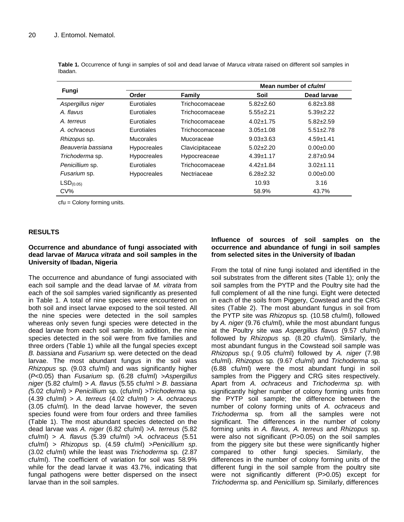| Fungi                 |                    |                 |                 | Mean number of cfu/ml |
|-----------------------|--------------------|-----------------|-----------------|-----------------------|
|                       | Order              | Family          | Soil            | Dead larvae           |
| Aspergillus niger     | Eurotiales         | Trichocomaceae  | $5.82 \pm 2.60$ | $6.82 \pm 3.88$       |
| A. flavus             | Eurotiales         | Trichocomaceae  | $5.55 \pm 2.21$ | $5.39 \pm 2.22$       |
| A. terreus            | Eurotiales         | Trichocomaceae  | $4.02 + 1.75$   | $5.82 \pm 2.59$       |
| A. ochraceus          | Eurotiales         | Trichocomaceae  | $3.05 \pm 1.08$ | $5.51 \pm 2.78$       |
| Rhizopus sp.          | <b>Mucorales</b>   | Mucoraceae      | $9.03 \pm 3.63$ | $4.59 + 1.41$         |
| Beauveria bassiana    | <b>Hypocreales</b> | Clavicipitaceae | $5.02 \pm 2.20$ | $0.00 + 0.00$         |
| Trichoderma sp.       | <b>Hypocreales</b> | Hypocreaceae    | $4.39 \pm 1.17$ | $2.87 \pm 0.94$       |
| Penicillium sp.       | Eurotiales         | Trichocomaceae  | $4.42 \pm 1.84$ | $3.02 + 1.11$         |
| Fusarium sp.          | <b>Hypocreales</b> | Nectriaceae     | $6.28 \pm 2.32$ | $0.00 + 0.00$         |
| LSD <sub>(0.05)</sub> |                    |                 | 10.93           | 3.16                  |
| CV%                   |                    |                 | 58.9%           | 43.7%                 |

**Table 1.** Occurrence of fungi in samples of soil and dead larvae of *Maruca vitrata* raised on different soil samples in Ibadan.

cfu = Colony forming units.

# **RESULTS**

# **Occurrence and abundance of fungi associated with dead larvae of** *Maruca vitrata* **and soil samples in the University of Ibadan, Nigeria**

The occurrence and abundance of fungi associated with each soil sample and the dead larvae of *M. vitrata* from each of the soil samples varied significantly as presented in Table 1. A total of nine species were encountered on both soil and insect larvae exposed to the soil tested. All the nine species were detected in the soil samples whereas only seven fungi species were detected in the dead larvae from each soil sample. In addition, the nine species detected in the soil were from five families and three orders (Table 1) while all the fungal species except *B. bassiana* and *Fusarium* sp*.* were detected on the dead larvae. The most abundant fungus in the soil was *Rhizopus* sp*.* (9.03 cfu/ml) and was significantly higher (*P*<0.05) than *Fusarium* sp. (6.28 cfu/ml) >*Aspergillus niger* (5.82 cfu/ml) *> A. flavus* (5.55 cfu/ml *> B. bassiana (*5.02 cfu/ml) *> Penicillium* sp. (cfu/ml) *>Trichoderma* sp*.*  (4.39 cfu/ml) *> A. terreus* (4.02 cfu/ml) *> A. ochraceus*  (3.05 cfu/ml)*.* In the dead larvae however, the seven species found were from four orders and three families (Table 1). The most abundant species detected on the dead larvae was *A. niger* (6.82 cfu/ml) >*A. terreus* (5.82 cfu/ml) > *A. flavus* (5.39 cfu/ml) >*A. ochraceus* (5.51 cfu/ml) > *Rhizopus* sp. (4.59 cfu/ml) >*Penicillium sp*. (3.02 cfu/ml) while the least was *Trichoderma* sp*.* (2.87 cfu/ml). The coefficient of variation for soil was 58.9% while for the dead larvae it was 43.7%, indicating that fungal pathogens were better dispersed on the insect larvae than in the soil samples.

# **Influence of sources of soil samples on the occurrence and abundance of fungi in soil samples from selected sites in the University of Ibadan**

From the total of nine fungi isolated and identified in the soil substrates from the different sites (Table 1); only the soil samples from the PYTP and the Poultry site had the full complement of all the nine fungi. Eight were detected in each of the soils from Piggery, Cowstead and the CRG sites (Table 2). The most abundant fungus in soil from the PYTP site was *Rhizopus* sp*.* (10.58 cfu/ml), followed by *A. niger* (9.76 cfu/ml), while the most abundant fungus at the Poultry site was *Aspergillus flavus* (9.57 cfu/ml) followed by *Rhizopus* sp*.* (8.20 cfu/ml). Similarly, the most abundant fungus in the Cowstead soil sample was *Rhizopus* sp*.*( 9.05 cfu/ml) followed by *A. niger* (7.98 cfu/ml). *Rhizopus* sp*.* (9.67 cfu/ml) and *Trichoderma* sp. (6.88 cfu/ml) were the most abundant fungi in soil samples from the Piggery and CRG sites respectively. Apart from *A. ochraceus* and *Trichoderma sp.* with significantly higher number of colony forming units from the PYTP soil sample; the difference between the number of colony forming units of *A. ochraceus* and *Trichoderma* sp*.* from all the samples were not significant. The differences in the number of colony forming units in *A. flavus, A. terreus* and *Rhizopus* sp. were also not significant (P>0.05) on the soil samples from the piggery site but these were significantly higher compared to other fungi species. Similarly, the differences in the number of colony forming units of the different fungi in the soil sample from the poultry site were not significantly different (P>0.05) except for *Trichoderma* sp. and *Penicillium* sp*.* Similarly, differences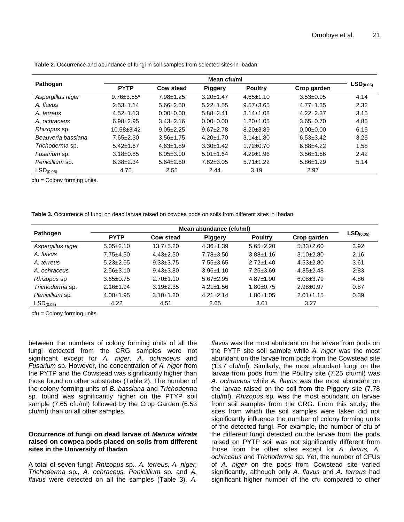|                       | Mean cfu/ml       |                  |                 |                 |                 |                       |
|-----------------------|-------------------|------------------|-----------------|-----------------|-----------------|-----------------------|
| <b>Pathogen</b>       | <b>PYTP</b>       | <b>Cow stead</b> | <b>Piggery</b>  | <b>Poultry</b>  | Crop garden     | LSD <sub>(0.05)</sub> |
| Aspergillus niger     | $9.76 \pm 3.65^*$ | $7.98 + 1.25$    | $3.20 + 1.47$   | $4.65 \pm 1.10$ | $3.53 \pm 0.95$ | 4.14                  |
| A. flavus             | $2.53 \pm 1.14$   | $5.66 \pm 2.50$  | $5.22 \pm 1.55$ | $9.57 \pm 3.65$ | $4.77 \pm 1.35$ | 2.32                  |
| A. terreus            | $4.52 \pm 1.13$   | $0.00 + 0.00$    | $5.88 \pm 2.41$ | $3.14 \pm 1.08$ | $4.22 \pm 2.37$ | 3.15                  |
| A. ochraceus          | $6.98 \pm 2.95$   | $3.43 \pm 2.16$  | $0.00 + 0.00$   | $1.20 \pm 1.05$ | $3.65 \pm 0.70$ | 4.85                  |
| Rhizopus sp.          | $10.58 \pm 3.42$  | $9.05 \pm 2.25$  | $9.67 + 2.78$   | $8.20 \pm 3.89$ | $0.00 + 0.00$   | 6.15                  |
| Beauveria bassiana    | $7.65 \pm 2.30$   | $3.56 \pm 1.75$  | $4.20 \pm 1.70$ | $3.14 \pm 1.80$ | $6.53 \pm 3.42$ | 3.25                  |
| Trichoderma sp.       | $5.42 \pm 1.67$   | $4.63 + 1.89$    | $3.30 + 1.42$   | $1.72 \pm 0.70$ | $6.88 + 4.22$   | 1.58                  |
| Fusarium sp.          | $3.18 \pm 0.85$   | $6.05 \pm 3.00$  | $5.01 \pm 1.64$ | $4.29 \pm 1.96$ | $3.56 \pm 1.56$ | 2.42                  |
| Penicillium sp.       | $6.38 \pm 2.34$   | $5.64 \pm 2.50$  | $7.82 \pm 3.05$ | $5.71 \pm 1.22$ | $5.86 \pm 1.29$ | 5.14                  |
| LSD <sub>(0.05)</sub> | 4.75              | 2.55             | 2.44            | 3.19            | 2.97            |                       |

**Table 2.** Occurrence and abundance of fungi in soil samples from selected sites in Ibadan

cfu = Colony forming units.

**Table 3.** Occurrence of fungi on dead larvae raised on cowpea pods on soils from different sites in Ibadan.

| Pathogen              | Mean abundance (cfu/ml) |                 |                 |                 |                 |                       |
|-----------------------|-------------------------|-----------------|-----------------|-----------------|-----------------|-----------------------|
|                       | <b>PYTP</b>             | Cow stead       | <b>Piggery</b>  | <b>Poultry</b>  | Crop garden     | LSD <sub>(0.05)</sub> |
| Aspergillus niger     | $5.05 \pm 2.10$         | $13.7 + 5.20$   | $4.36 \pm 1.39$ | $5.65 \pm 2.20$ | $5.33 \pm 2.60$ | 3.92                  |
| A. flavus             | $7.75 \pm 4.50$         | $4.43 \pm 2.50$ | $7.78 \pm 3.50$ | $3.88 \pm 1.16$ | $3.10 \pm 2.80$ | 2.16                  |
| A. terreus            | $5.23 \pm 2.65$         | $9.33 \pm 3.75$ | $7.55 \pm 3.65$ | $2.72 \pm 1.40$ | $4.53 \pm 2.80$ | 3.61                  |
| A. ochraceus          | $2.56 \pm 3.10$         | $9.43 \pm 3.80$ | $3.96 \pm 1.10$ | $7.25 \pm 3.69$ | $4.35 \pm 2.48$ | 2.83                  |
| Rhizopus sp           | $3.65 \pm 0.75$         | $2.70 \pm 1.10$ | $5.67 \pm 2.95$ | $4.87 \pm 1.90$ | $6.08 \pm 3.79$ | 4.86                  |
| Trichoderma sp.       | $2.16 \pm 1.94$         | $3.19 \pm 2.35$ | $4.21 \pm 1.56$ | $1.80 + 0.75$   | $2.98 \pm 0.97$ | 0.87                  |
| Penicillium sp.       | $4.00 \pm 1.95$         | $3.10+1.20$     | $4.21 \pm 2.14$ | $1.80 + 1.05$   | $2.01 \pm 1.15$ | 0.39                  |
| LSD <sub>(0.05)</sub> | 4.22                    | 4.51            | 2.65            | 3.01            | 3.27            |                       |

cfu = Colony forming units.

between the numbers of colony forming units of all the fungi detected from the CRG samples were not significant except for *A. niger, A. ochraceus* and *Fusarium* sp. However, the concentration of *A. niger* from the PYTP and the Cowstead was significantly higher than those found on other substrates (Table 2). The number of the colony forming units of *B. bassiana* and *Trichoderma*  sp*.* found was significantly higher on the PTYP soil sample (7.65 cfu/ml) followed by the Crop Garden (6.53 cfu/ml) than on all other samples.

# **Occurrence of fungi on dead larvae of** *Maruca vitrata*  **raised on cowpea pods placed on soils from different sites in the University of Ibadan**

A total of seven fungi: *Rhizopus* sp*., A. terreus, A. niger, Trichoderma* sp*., A. ochraceus, Penicillium* sp*.* and *A. flavus* were detected on all the samples (Table 3). *A.*

*flavus* was the most abundant on the larvae from pods on the PYTP site soil sample while *A. niger* was the most abundant on the larvae from pods from the Cowstead site (13.7 cfu/ml). Similarly, the most abundant fungi on the larvae from pods from the Poultry site (7.25 cfu/ml) was *A. ochraceus* while *A. flavus* was the most abundant on the larvae raised on the soil from the Piggery site (7.78 cfu/ml). *Rhizopus* sp*.* was the most abundant on larvae from soil samples from the CRG. From this study, the sites from which the soil samples were taken did not significantly influence the number of colony forming units of the detected fungi. For example, the number of cfu of the different fungi detected on the larvae from the pods raised on PYTP soil was not significantly different from those from the other sites except for *A. flavus, A. ochraceus* and T*richoderma* sp*.* Yet, the number of CFUs of *A*. *niger* on the pods from Cowstead site varied significantly, although only *A. flavus* and *A. terreus* had significant higher number of the cfu compared to other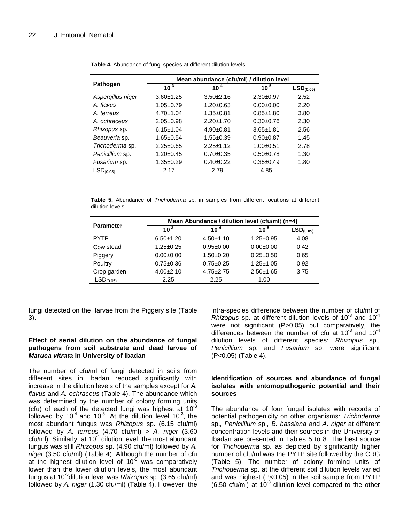|                       |                 | Mean abundance (cfu/ml) / dilution level |                 |                       |
|-----------------------|-----------------|------------------------------------------|-----------------|-----------------------|
| Pathogen              | $10^{-3}$       | $10^{-4}$                                | $10^{-5}$       | LSD <sub>(0.05)</sub> |
| Aspergillus niger     | $3.60 + 1.25$   | $3.50+2.16$                              | $2.30+0.97$     | 2.52                  |
| A flavus              | $1.05 \pm 0.79$ | $1.20 \pm 0.63$                          | $0.00 + 0.00$   | 2.20                  |
| A. terreus            | $4.70 \pm 1.04$ | $1.35 + 0.81$                            | $0.85 + 1.80$   | 3.80                  |
| A. ochraceus          | $2.05 \pm 0.98$ | $2.20 \pm 1.70$                          | $0.30+0.76$     | 2.30                  |
| Rhizopus sp.          | $6.15 \pm 1.04$ | $4.90+0.81$                              | $3.65 \pm 1.81$ | 2.56                  |
| Beauveria sp.         | $1.65 \pm 0.54$ | $1.55 \pm 0.39$                          | $0.90 + 0.87$   | 1.45                  |
| Trichoderma sp.       | $2.25 \pm 0.65$ | $2.25 + 1.12$                            | $1.00 + 0.51$   | 2.78                  |
| Penicillium sp.       | $1.20 \pm 0.45$ | $0.70 + 0.35$                            | $0.50+0.78$     | 1.30                  |
| Fusarium sp.          | $1.35 \pm 0.29$ | $0.40+0.22$                              | $0.35 \pm 0.49$ | 1.80                  |
| LSD <sub>(0.05)</sub> | 2.17            | 2.79                                     | 4.85            |                       |

**Table 4.** Abundance of fungi species at different dilution levels.

**Table 5.** Abundance of *Trichoderma* sp. in samples from different locations at different dilution levels.

|                       | Mean Abundance / dilution level (cfu/ml) (n=4) |                 |                 |                       |  |  |
|-----------------------|------------------------------------------------|-----------------|-----------------|-----------------------|--|--|
| <b>Parameter</b>      | $10^{-3}$                                      | $10^{-4}$       | $10^{-5}$       | LSD <sub>(0.05)</sub> |  |  |
| <b>PYTP</b>           | $6.50 \pm 1.20$                                | $4.50 \pm 1.10$ | $1.25 \pm 0.95$ | 4.08                  |  |  |
| Cow stead             | $1.25 \pm 0.25$                                | $0.95 \pm 0.00$ | $0.00 + 0.00$   | 0.42                  |  |  |
| Piggery               | $0.00 + 0.00$                                  | $1.50+0.20$     | $0.25 \pm 0.50$ | 0.65                  |  |  |
| Poultry               | $0.75 \pm 0.36$                                | $0.75 \pm 0.25$ | $1.25 \pm 1.05$ | 0.92                  |  |  |
| Crop garden           | $4.00 \pm 2.10$                                | $4.75 \pm 2.75$ | $2.50 + 1.65$   | 3.75                  |  |  |
| LSD <sub>(0.05)</sub> | 2.25                                           | 2.25            | 1.00            |                       |  |  |
|                       |                                                |                 |                 |                       |  |  |

fungi detected on the larvae from the Piggery site (Table 3).

# **Effect of serial dilution on the abundance of fungal pathogens from soil substrate and dead larvae of**  *Maruca vitrata* **in University of Ibadan**

The number of cfu/ml of fungi detected in soils from different sites in Ibadan reduced significantly with increase in the dilution levels of the samples except for *A. flavus* and *A. ochraceus* (Table 4). The abundance which was determined by the number of colony forming units (cfu) of each of the detected fungi was highest at  $10^{-3}$ followed by 10<sup>-4</sup> and 10<sup>-5</sup>. At the dilution level 10<sup>-3</sup>, the most abundant fungus was *Rhizopus* sp. (6.15 cfu/ml) followed by *A. terreus* (4.70 cfu/ml) > *A. niger* (3.60 cfu/ml). Similarly, at 10 $4$  dilution level, the most abundant fungus was still *Rhizopus* sp. (4.90 cfu/ml) followed by *A. niger* (3.50 cfu/ml) (Table 4). Although the number of cfu at the highest dilution level of  $10^{-5}$  was comparatively lower than the lower dilution levels, the most abundant fungus at 10<sup>-5</sup>dilution level was *Rhizopus* sp. (3.65 cfu/ml) followed by *A. niger* (1.30 cfu/ml) (Table 4). However, the

intra-species difference between the number of cfu/ml of  $Rhizopus$  sp. at different dilution levels of  $10^{-3}$  and  $10^{-4}$ were not significant (P>0.05) but comparatively, the differences between the number of cfu at 10 $3$  and 10 $4$ dilution levels of different species: *Rhizopus* sp.*, Penicillium* sp. and *Fusarium* sp. were significant (P<0.05) (Table 4).

# **Identification of sources and abundance of fungal isolates with entomopathogenic potential and their sources**

The abundance of four fungal isolates with records of potential pathogenicity on other organisms: *Trichoderma*  sp.*, Penicillium* sp.*, B. bassiana* and *A. niger* at different concentration levels and their sources in the University of Ibadan are presented in Tables 5 to 8. The best source for *Trichoderma* sp. as depicted by significantly higher number of cfu/ml was the PYTP site followed by the CRG (Table 5). The number of colony forming units of *Trichoderma* sp. at the different soil dilution levels varied and was highest (P<0.05) in the soil sample from PYTP  $(6.50 \text{ ctu/ml})$  at  $10^{-3}$  dilution level compared to the other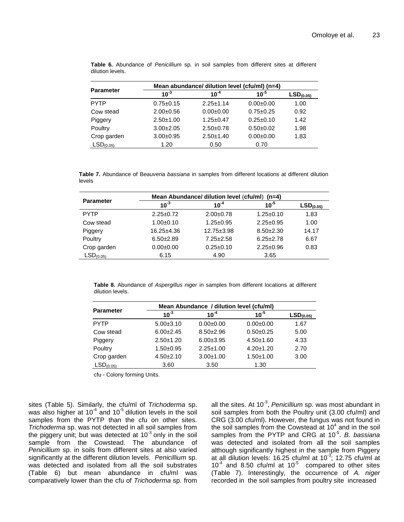|                       | Mean abundance/ dilution level (cfu/ml) (n=4) |                 |                         |                       |
|-----------------------|-----------------------------------------------|-----------------|-------------------------|-----------------------|
| <b>Parameter</b>      | $10^{-3}$                                     | $10^{-4}$       | 10 $\cdot$ <sup>5</sup> | LSD <sub>(0.05)</sub> |
| <b>PYTP</b>           | $0.75 \pm 0.15$                               | $2.25 \pm 1.14$ | $0.00 + 0.00$           | 1.00                  |
| Cow stead             | $2.00+0.56$                                   | $0.00 + 0.00$   | $0.75 \pm 0.25$         | 0.92                  |
| Piggery               | $2.50+1.00$                                   | $1.25 \pm 0.47$ | $0.25 \pm 0.10$         | 1.42                  |
| Poultry               | $3.00 + 2.05$                                 | $2.50+0.78$     | $0.50 + 0.02$           | 1.98                  |
| Crop garden           | $3.00+0.95$                                   | $2.50 + 1.40$   | $0.00 + 0.00$           | 1.83                  |
| LSD <sub>(0.05)</sub> | 1.20                                          | 0.50            | 0.70                    |                       |

**Table 6.** Abundance of *Penicillium* sp*.* in soil samples from different sites at different dilution levels.

**Table 7.** Abundance of B*eauveria bassiana* in samples from different locations at different dilution levels

| <b>Parameter</b>      | Mean Abundance/ dilution level (cfu/ml) (n=4) |                  |                 |                       |
|-----------------------|-----------------------------------------------|------------------|-----------------|-----------------------|
|                       | $10^{-3}$                                     | $10^{-4}$        | $10^{-5}$       | LSD <sub>(0.05)</sub> |
| <b>PYTP</b>           | $2.25 \pm 0.72$                               | $2.00+0.78$      | $1.25 \pm 0.10$ | 1.83                  |
| Cow stead             | $1.00+0.10$                                   | $1.25 \pm 0.95$  | $2.25 \pm 0.95$ | 1.00                  |
| Piggery               | $16.25 \pm 4.36$                              | $12.75 \pm 3.98$ | $8.50 \pm 2.30$ | 14.17                 |
| Poultry               | $6.50+2.89$                                   | $7.25 \pm 2.58$  | $6.25 \pm 2.78$ | 6.67                  |
| Crop garden           | $0.00 \pm 0.00$                               | $0.25 \pm 0.10$  | $2.25 \pm 0.96$ | 0.83                  |
| LSD <sub>(0.05)</sub> | 6.15                                          | 4.90             | 3.65            |                       |

**Table 8.** Abundance of *Aspergillus niger* in samples from different locations at different dilution levels.

|                       | Mean Abundance / dilution level (cfu/ml) |                 |                 |                       |
|-----------------------|------------------------------------------|-----------------|-----------------|-----------------------|
| <b>Parameter</b>      | $10^{-3}$                                | $10^{-4}$       | $10^{-5}$       | LSD <sub>(0.05)</sub> |
| PYTP                  | $5.00 \pm 3.10$                          | $0.00 + 0.00$   | $0.00 + 0.00$   | 1.67                  |
| Cow stead             | $6.00 \pm 2.45$                          | $8.50 + 2.96$   | $0.50 + 0.25$   | 5.00                  |
| Piggery               | $2.50 + 1.20$                            | $6.00 \pm 3.95$ | $4.50 \pm 1.60$ | 4.33                  |
| Poultry               | $1.50+0.95$                              | $2.25 \pm 1.00$ | $4.20 \pm 1.20$ | 2.70                  |
| Crop garden           | $4.50 \pm 2.10$                          | $3.00 + 1.00$   | $1.50 + 1.00$   | 3.00                  |
| LSD <sub>(0.05)</sub> | 3.60                                     | 3.50            | 1.30            |                       |

cfu - Colony forming Units.

sites (Table 5). Similarly, the cfu/ml of *Trichoderma* sp. was also higher at 10<sup>-4</sup> and 10<sup>-5</sup> dilution levels in the soil samples from the PYTP than the cfu on other sites. *Trichoderma* sp. was not detected in all soil samples from the piggery unit; but was detected at 10 $3$  only in the soil sample from the Cowstead. The abundance of *Penicillium* sp. in soils from different sites at also varied significantly at the different dilution levels. *Penicillium* sp. was detected and isolated from all the soil substrates (Table 6) but mean abundance in cfu/ml was comparatively lower than the cfu of *Trichoderma* sp. from

all the sites. At 10<sup>-3</sup>, *Penicillium* sp. was most abundant in soil samples from both the Poultry unit (3.00 cfu/ml) and CRG (3.00 cfu/ml). However, the fungus was not found in the soil samples from the Cowstead at  $10^4$  and in the soil samples from the PYTP and CRG at 10<sup>-5</sup>. B. bassiana was detected and isolated from all the soil samples although significantly highest in the sample from Piggery at all dilution levels: 16.25 cfu/ml at 10 $3$ ; 12.75 cfu/ml at  $10^{-4}$  and 8.50 cfu/ml at  $10^{-5}$  compared to other sites (Table 7). Interestingly, the occurrence of *A. niger*  recorded in the soil samples from poultry site increased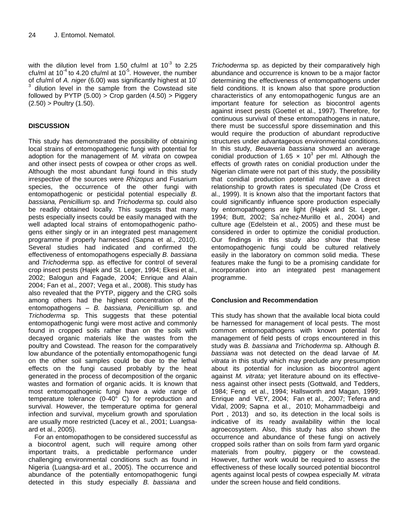with the dilution level from 1.50 cfu/ml at 10<sup>-3</sup> to 2.25 cfu/ml at 10<sup>-4</sup> to 4.20 cfu/ml at 10<sup>-5</sup>. However, the number of cfu/ml of *A. niger* (6.00) was significantly highest at 10- 3 dilution level in the sample from the Cowstead site followed by PYTP  $(5.00)$  > Crop garden  $(4.50)$  > Piggery  $(2.50)$  > Poultry  $(1.50)$ .

# **DISCUSSION**

This study has demonstrated the possibility of obtaining local strains of entomopathogenic fungi with potential for adoption for the management of *M. vitrata* on cowpea and other insect pests of cowpea or other crops as well. Although the most abundant fungi found in this study irrespective of the sources were *Rhizopus* and Fusarium species, the occurrence of the other fungi with entomopathogenic or pesticidal potential especially *B. bassiana, Penicillium* sp. and *Trichoderma* sp. could also be readily obtained locally. This suggests that many pests especially insects could be easily managed with the well adapted local strains of entomopathogenic pathogens either singly or in an integrated pest management programme if properly harnessed (Sapna et al., 2010). Several studies had indicated and confirmed the effectiveness of entomopathogens especially *B. bassiana* and *Trichoderma* spp. as effective for control of several crop insect pests (Hajek and St. Leger, 1994; Ekesi et al., 2002; Balogun and Fagade, 2004; Enrique and Alain 2004; Fan et al., 2007; Vega et al., 2008). This study has also revealed that the PYTP, piggery and the CRG soils among others had the highest concentration of the entomopathogens – *B. bassiana, Penicillium* sp. and *Trichoderma* sp. This suggests that these potential entomopathogenic fungi were most active and commonly found in cropped soils rather than on the soils with decayed organic materials like the wastes from the poultry and Cowstead. The reason for the comparatively low abundance of the potentially entomopathogenic fungi on the other soil samples could be due to the lethal effects on the fungi caused probably by the heat generated in the process of decomposition of the organic wastes and formation of organic acids. It is known that most entomopathogenic fungi have a wide range of temperature tolerance (0-40 $\degree$  C) for reproduction and survival. However, the temperature optima for general infection and survival, mycelium growth and sporulation are usually more restricted (Lacey et al., 2001; Luangsaard et al., 2005).

For an entomopathogen to be considered successful as a biocontrol agent, such will require among other important traits, a predictable performance under challenging environmental conditions such as found in Nigeria (Luangsa-ard et al., 2005). The occurrence and abundance of the potentially entomopathogenic fungi detected in this study especially *B. bassiana* and

*Trichoderma* sp. as depicted by their comparatively high abundance and occurrence is known to be a major factor determining the effectiveness of entomopathogens under field conditions. It is known also that spore production characteristics of any entomopathogenic fungus are an important feature for selection as biocontrol agents against insect pests (Goettel et al., 1997). Therefore, for continuous survival of these entomopathogens in nature, there must be successful spore dissemination and this would require the production of abundant reproductive structures under advantageous environmental conditions. In this study, *Beuaveria bassiana* showed an average conidial production of 1.65  $\times$  10<sup>3</sup> per ml. Although the effects of growth rates on conidial production under the Nigerian climate were not part of this study, the possibility that conidial production potential may have a direct relationship to growth rates is speculated (De Cross et al., 1999). It is known also that the important factors that could significantly influence spore production especially by entomopathogens are light (Hajek and St. Leger, 1994; Butt, 2002; Sa´nchez-Murillo et al., 2004) and culture age (Edelstein et al., 2005) and these must be considered in order to optimize the conidial production. Our findings in this study also show that these entomopathogenic fungi could be cultured relatively easily in the laboratory on common solid media. These features make the fungi to be a promising candidate for incorporation into an integrated pest management programme.

# **Conclusion and Recommendation**

This study has shown that the available local biota could be harnessed for management of local pests. The most common entomopathogens with known potential for management of field pests of crops encountered in this study was *B. bassiana* and *Trichoderma* sp. Although *B. bassiana* was not detected on the dead larvae of *M. vitrata* in this study which may preclude any presumption about its potential for inclusion as biocontrol agent against *M. vitrata;* yet literature abound on its effectiveness against other insect pests (Gottwald, and Tedders, 1984; Feng et al., 1994; Hallsworth and Magan, 1999; Enrique and VEY, 2004; Fan et al., 2007; Tefera and Vidal, 2009; Sapna et al., 2010; Mohammadbeigi and Port , 2013) and so, its detection in the local soils is indicative of its ready availability within the local agroecosystem. Also, this study has also shown the occurrence and abundance of these fungi on actively cropped soils rather than on soils from farm yard organic materials from poultry, piggery or the cowstead. However, further work would be required to assess the effectiveness of these locally sourced potential biocontrol agents against local pests of cowpea especially *M. vitrata*  under the screen house and field conditions.